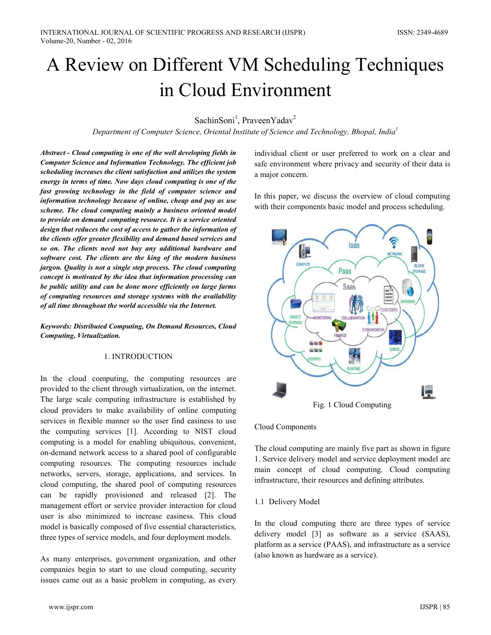# A Review on Different VM Scheduling Techniques in Cloud Environment

SachinSoni<sup>1</sup>, PraveenYadav<sup>2</sup>

Department of Computer Science, Oriental Institute of Science and Technology, Bhopal, India<sup>1</sup>

Abstract - Cloud computing is one of the well developing fields in Computer Science and Information Technology. The efficient job scheduling increases the client satisfaction and utilizes the system energy in terms of time. Now days cloud computing is one of the fast growing technology in the field of computer science and information technology because of online, cheap and pay as use scheme. The cloud computing mainly a business oriented model to provide on demand computing resource. It is a service oriented design that reduces the cost of access to gather the information of the clients offer greater flexibility and demand based services and so on. The clients need not buy any additional hardware and software cost. The clients are the king of the modern business jargon. Quality is not a single step process. The cloud computing concept is motivated by the idea that information processing can be public utility and can be done more efficiently on large farms of computing resources and storage systems with the availability of all time throughout the world accessible via the Internet.

Keywords: Distributed Computing, On Demand Resources, Cloud Computing, Virtualization.

### 1. INTRODUCTION

In the cloud computing, the computing resources are provided to the client through virtualization, on the internet. The large scale computing infrastructure is established by cloud providers to make availability of online computing services in flexible manner so the user find easiness to use the computing services [1]. According to NIST cloud computing is a model for enabling ubiquitous, convenient, on-demand network access to a shared pool of configurable computing resources. The computing resources include networks, servers, storage, applications, and services. In cloud computing, the shared pool of computing resources can be rapidly provisioned and released [2]. The management effort or service provider interaction for cloud user is also minimized to increase easiness. This cloud model is basically composed of five essential characteristics. three types of service models, and four deployment models.

As many enterprises, government organization, and other companies begin to start to use cloud computing, security issues came out as a basic problem in computing, as every

individual client or user preferred to work on a clear and safe environment where privacy and security of their data is a major concern.

In this paper, we discuss the overview of cloud computing with their components basic model and process scheduling.



Fig. 1 Cloud Computing

Cloud Components

The cloud computing are mainly five part as shown in figure 1. Service delivery model and service deployment model are main concept of cloud computing. Cloud computing infrastructure, their resources and defining attributes.

### 1.1 Delivery Model

In the cloud computing there are three types of service delivery model [3] as software as a service (SAAS), platform as a service (PAAS), and infrastructure as a service (also known as hardware as a service).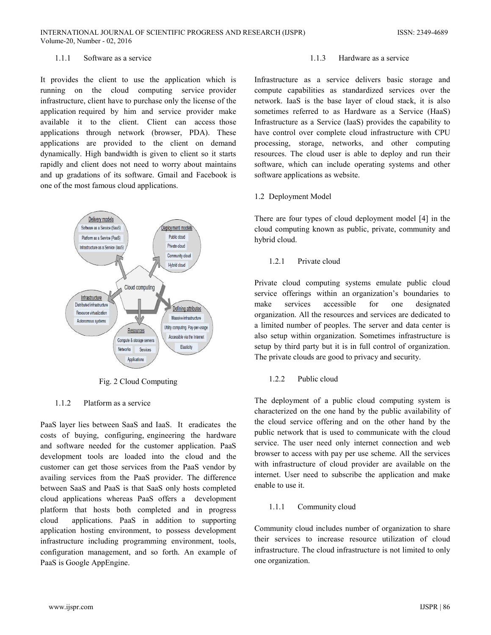#### $111$ Software as a service

It provides the client to use the application which is running on the cloud computing service provider infrastructure, client have to purchase only the license of the application required by him and service provider make available it to the client. Client can access those applications through network (browser, PDA). These applications are provided to the client on demand dynamically. High bandwidth is given to client so it starts rapidly and client does not need to worry about maintains and up gradations of its software. Gmail and Facebook is one of the most famous cloud applications.



Fig. 2 Cloud Computing

#### $1.1.2$ Platform as a service

PaaS layer lies between SaaS and IaaS. It eradicates the costs of buying, configuring, engineering the hardware and software needed for the customer application. PaaS development tools are loaded into the cloud and the customer can get those services from the PaaS vendor by availing services from the PaaS provider. The difference between SaaS and PaaS is that SaaS only hosts completed cloud applications whereas PaaS offers a development platform that hosts both completed and in progress cloud applications. PaaS in addition to supporting application hosting environment, to possess development infrastructure including programming environment, tools, configuration management, and so forth. An example of PaaS is Google AppEngine.

#### $1.1.3$ Hardware as a service

Infrastructure as a service delivers basic storage and compute capabilities as standardized services over the network. IaaS is the base layer of cloud stack, it is also sometimes referred to as Hardware as a Service (HaaS) Infrastructure as a Service (IaaS) provides the capability to have control over complete cloud infrastructure with CPU processing, storage, networks, and other computing resources. The cloud user is able to deploy and run their software, which can include operating systems and other software applications as website.

### 1.2 Deployment Model

There are four types of cloud deployment model [4] in the cloud computing known as public, private, community and hybrid cloud.

#### $1.2.1$ Private cloud

Private cloud computing systems emulate public cloud service offerings within an organization's boundaries to services accessible make for one designated organization. All the resources and services are dedicated to a limited number of peoples. The server and data center is also setup within organization. Sometimes infrastructure is setup by third party but it is in full control of organization. The private clouds are good to privacy and security.

#### $1.2.2$ Public cloud

The deployment of a public cloud computing system is characterized on the one hand by the public availability of the cloud service offering and on the other hand by the public network that is used to communicate with the cloud service. The user need only internet connection and web browser to access with pay per use scheme. All the services with infrastructure of cloud provider are available on the internet. User need to subscribe the application and make enable to use it.

#### $1.1.1$ Community cloud

Community cloud includes number of organization to share their services to increase resource utilization of cloud infrastructure. The cloud infrastructure is not limited to only one organization.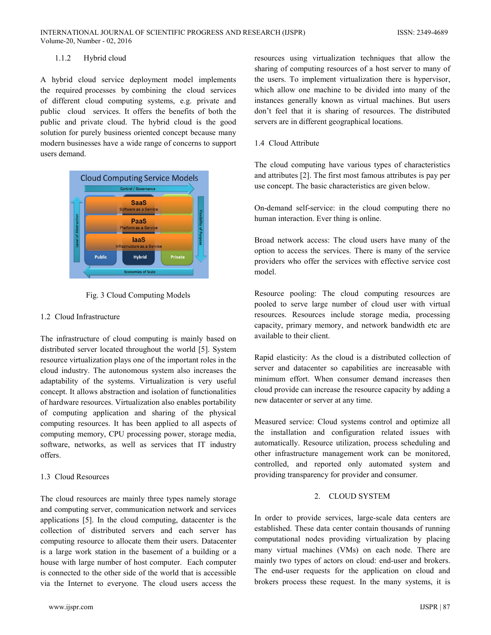#### $1.1.2$ Hybrid cloud

A hybrid cloud service deployment model implements the required processes by combining the cloud services of different cloud computing systems, e.g. private and public cloud services. It offers the benefits of both the public and private cloud. The hybrid cloud is the good solution for purely business oriented concept because many modern businesses have a wide range of concerns to support users demand.



Fig. 3 Cloud Computing Models

### 1.2 Cloud Infrastructure

The infrastructure of cloud computing is mainly based on distributed server located throughout the world [5]. System resource virtualization plays one of the important roles in the cloud industry. The autonomous system also increases the adaptability of the systems. Virtualization is very useful concept. It allows abstraction and isolation of functionalities of hardware resources. Virtualization also enables portability of computing application and sharing of the physical computing resources. It has been applied to all aspects of computing memory, CPU processing power, storage media, software, networks, as well as services that IT industry offers.

### 1.3 Cloud Resources

The cloud resources are mainly three types namely storage and computing server, communication network and services applications [5]. In the cloud computing, datacenter is the collection of distributed servers and each server has computing resource to allocate them their users. Datacenter is a large work station in the basement of a building or a house with large number of host computer. Each computer is connected to the other side of the world that is accessible via the Internet to everyone. The cloud users access the resources using virtualization techniques that allow the sharing of computing resources of a host server to many of the users. To implement virtualization there is hypervisor, which allow one machine to be divided into many of the instances generally known as virtual machines. But users don't feel that it is sharing of resources. The distributed servers are in different geographical locations.

### 1.4 Cloud Attribute

The cloud computing have various types of characteristics and attributes [2]. The first most famous attributes is pay per use concept. The basic characteristics are given below.

On-demand self-service: in the cloud computing there no human interaction. Ever thing is online.

Broad network access: The cloud users have many of the option to access the services. There is many of the service providers who offer the services with effective service cost model

Resource pooling: The cloud computing resources are pooled to serve large number of cloud user with virtual resources. Resources include storage media, processing capacity, primary memory, and network bandwidth etc are available to their client.

Rapid elasticity: As the cloud is a distributed collection of server and datacenter so capabilities are increasable with minimum effort. When consumer demand increases then cloud provide can increase the resource capacity by adding a new datacenter or server at any time.

Measured service: Cloud systems control and optimize all the installation and configuration related issues with automatically. Resource utilization, process scheduling and other infrastructure management work can be monitored, controlled, and reported only automated system and providing transparency for provider and consumer.

# 2. CLOUD SYSTEM

In order to provide services, large-scale data centers are established. These data center contain thousands of running computational nodes providing virtualization by placing many virtual machines (VMs) on each node. There are mainly two types of actors on cloud: end-user and brokers. The end-user requests for the application on cloud and brokers process these request. In the many systems, it is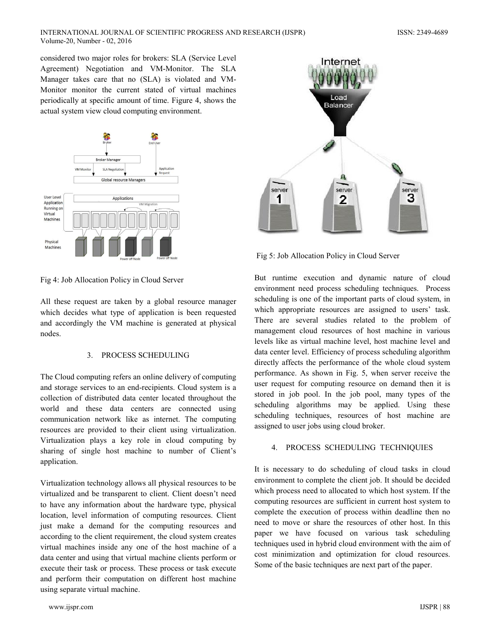### INTERNATIONAL JOURNAL OF SCIENTIFIC PROGRESS AND RESEARCH (IJSPR) Volume-20, Number - 02, 2016

considered two major roles for brokers: SLA (Service Level) Agreement) Negotiation and VM-Monitor. The SLA Manager takes care that no (SLA) is violated and VM-Monitor monitor the current stated of virtual machines periodically at specific amount of time. Figure 4, shows the actual system view cloud computing environment.



Fig 4: Job Allocation Policy in Cloud Server

All these request are taken by a global resource manager which decides what type of application is been requested and accordingly the VM machine is generated at physical nodes.

# 3. PROCESS SCHEDULING

The Cloud computing refers an online delivery of computing and storage services to an end-recipients. Cloud system is a collection of distributed data center located throughout the world and these data centers are connected using communication network like as internet. The computing resources are provided to their client using virtualization. Virtualization plays a key role in cloud computing by sharing of single host machine to number of Client's application.

Virtualization technology allows all physical resources to be virtualized and be transparent to client. Client doesn't need to have any information about the hardware type, physical location, level information of computing resources. Client just make a demand for the computing resources and according to the client requirement, the cloud system creates virtual machines inside any one of the host machine of a data center and using that virtual machine clients perform or execute their task or process. These process or task execute and perform their computation on different host machine using separate virtual machine.



Fig 5: Job Allocation Policy in Cloud Server

But runtime execution and dynamic nature of cloud environment need process scheduling techniques. Process scheduling is one of the important parts of cloud system, in which appropriate resources are assigned to users' task. There are several studies related to the problem of management cloud resources of host machine in various levels like as virtual machine level, host machine level and data center level. Efficiency of process scheduling algorithm directly affects the performance of the whole cloud system performance. As shown in Fig. 5, when server receive the user request for computing resource on demand then it is stored in job pool. In the job pool, many types of the scheduling algorithms may be applied. Using these scheduling techniques, resources of host machine are assigned to user jobs using cloud broker.

### 4. PROCESS SCHEDULING TECHNIQUIES

It is necessary to do scheduling of cloud tasks in cloud environment to complete the client job. It should be decided which process need to allocated to which host system. If the computing resources are sufficient in current host system to complete the execution of process within deadline then no need to move or share the resources of other host. In this paper we have focused on various task scheduling techniques used in hybrid cloud environment with the aim of cost minimization and optimization for cloud resources. Some of the basic techniques are next part of the paper.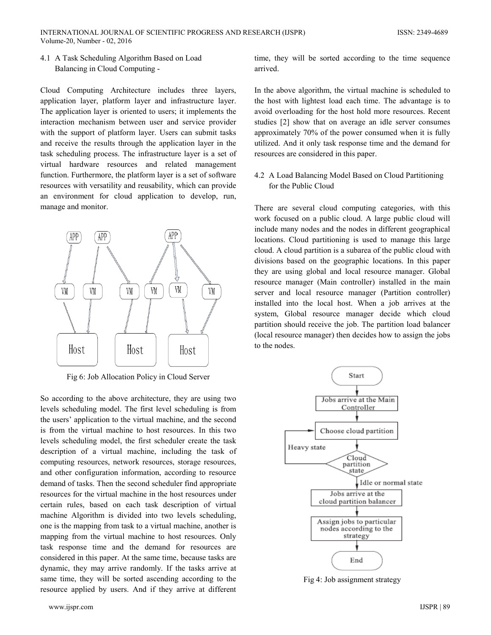4.1 A Task Scheduling Algorithm Based on Load Balancing in Cloud Computing -

Cloud Computing Architecture includes three layers, application layer, platform layer and infrastructure layer. The application layer is oriented to users; it implements the interaction mechanism between user and service provider with the support of platform layer. Users can submit tasks and receive the results through the application layer in the task scheduling process. The infrastructure layer is a set of virtual hardware resources and related management function. Furthermore, the platform layer is a set of software resources with versatility and reusability, which can provide an environment for cloud application to develop, run, manage and monitor.



Fig 6: Job Allocation Policy in Cloud Server

So according to the above architecture, they are using two levels scheduling model. The first level scheduling is from the users' application to the virtual machine, and the second is from the virtual machine to host resources. In this two levels scheduling model, the first scheduler create the task description of a virtual machine, including the task of computing resources, network resources, storage resources, and other configuration information, according to resource demand of tasks. Then the second scheduler find appropriate resources for the virtual machine in the host resources under certain rules, based on each task description of virtual machine Algorithm is divided into two levels scheduling, one is the mapping from task to a virtual machine, another is mapping from the virtual machine to host resources. Only task response time and the demand for resources are considered in this paper. At the same time, because tasks are dynamic, they may arrive randomly. If the tasks arrive at same time, they will be sorted ascending according to the resource applied by users. And if they arrive at different

time, they will be sorted according to the time sequence arrived

In the above algorithm, the virtual machine is scheduled to the host with lightest load each time. The advantage is to avoid overloading for the host hold more resources. Recent studies [2] show that on average an idle server consumes approximately 70% of the power consumed when it is fully utilized. And it only task response time and the demand for resources are considered in this paper.

4.2 A Load Balancing Model Based on Cloud Partitioning for the Public Cloud

There are several cloud computing categories, with this work focused on a public cloud. A large public cloud will include many nodes and the nodes in different geographical locations. Cloud partitioning is used to manage this large cloud. A cloud partition is a subarea of the public cloud with divisions based on the geographic locations. In this paper they are using global and local resource manager. Global resource manager (Main controller) installed in the main server and local resource manager (Partition controller) installed into the local host. When a job arrives at the system, Global resource manager decide which cloud partition should receive the job. The partition load balancer (local resource manager) then decides how to assign the jobs to the nodes.



Fig 4: Job assignment strategy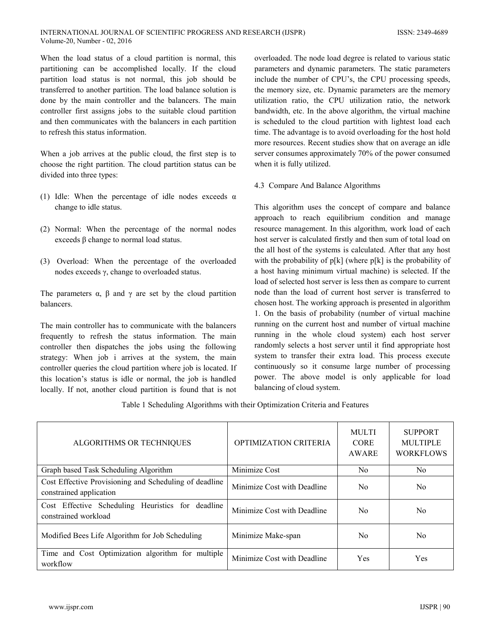When the load status of a cloud partition is normal, this partitioning can be accomplished locally. If the cloud partition load status is not normal, this job should be transferred to another partition. The load balance solution is done by the main controller and the balancers. The main controller first assigns jobs to the suitable cloud partition and then communicates with the balancers in each partition to refresh this status information.

When a job arrives at the public cloud, the first step is to choose the right partition. The cloud partition status can be divided into three types:

- (1) Idle: When the percentage of idle nodes exceeds  $\alpha$ change to idle status.
- (2) Normal: When the percentage of the normal nodes exceeds  $\beta$  change to normal load status.
- (3) Overload: When the percentage of the overloaded nodes exceeds  $\gamma$ , change to overloaded status.

The parameters  $\alpha$ ,  $\beta$  and  $\gamma$  are set by the cloud partition balancers.

The main controller has to communicate with the balancers frequently to refresh the status information. The main controller then dispatches the jobs using the following strategy: When job i arrives at the system, the main controller queries the cloud partition where job is located. If this location's status is idle or normal, the job is handled locally. If not, another cloud partition is found that is not

overloaded. The node load degree is related to various static parameters and dynamic parameters. The static parameters include the number of CPU's, the CPU processing speeds, the memory size, etc. Dynamic parameters are the memory utilization ratio, the CPU utilization ratio, the network bandwidth, etc. In the above algorithm, the virtual machine is scheduled to the cloud partition with lightest load each time. The advantage is to avoid overloading for the host hold more resources. Recent studies show that on average an idle server consumes approximately 70% of the power consumed when it is fully utilized.

4.3 Compare And Balance Algorithms

This algorithm uses the concept of compare and balance approach to reach equilibrium condition and manage resource management. In this algorithm, work load of each host server is calculated firstly and then sum of total load on the all host of the systems is calculated. After that any host with the probability of  $p[k]$  (where  $p[k]$  is the probability of a host having minimum virtual machine) is selected. If the load of selected host server is less then as compare to current node than the load of current host server is transferred to chosen host. The working approach is presented in algorithm 1. On the basis of probability (number of virtual machine running on the current host and number of virtual machine running in the whole cloud system) each host server randomly selects a host server until it find appropriate host system to transfer their extra load. This process execute continuously so it consume large number of processing power. The above model is only applicable for load balancing of cloud system.

Table 1 Scheduling Algorithms with their Optimization Criteria and Features

| ALGORITHMS OR TECHNIQUES                                                          | OPTIMIZATION CRITERIA       | <b>MULTI</b><br><b>CORE</b><br>AWARE | <b>SUPPORT</b><br><b>MULTIPLE</b><br><b>WORKFLOWS</b> |
|-----------------------------------------------------------------------------------|-----------------------------|--------------------------------------|-------------------------------------------------------|
| Graph based Task Scheduling Algorithm                                             | Minimize Cost               | No.                                  | N <sub>0</sub>                                        |
| Cost Effective Provisioning and Scheduling of deadline<br>constrained application | Minimize Cost with Deadline | N <sub>0</sub>                       | N <sub>0</sub>                                        |
| Cost Effective Scheduling Heuristics for deadline<br>constrained workload         | Minimize Cost with Deadline | No.                                  | N <sub>0</sub>                                        |
| Modified Bees Life Algorithm for Job Scheduling                                   | Minimize Make-span          | No.                                  | N <sub>0</sub>                                        |
| Time and Cost Optimization algorithm for multiple<br>workflow                     | Minimize Cost with Deadline | Yes                                  | Yes                                                   |